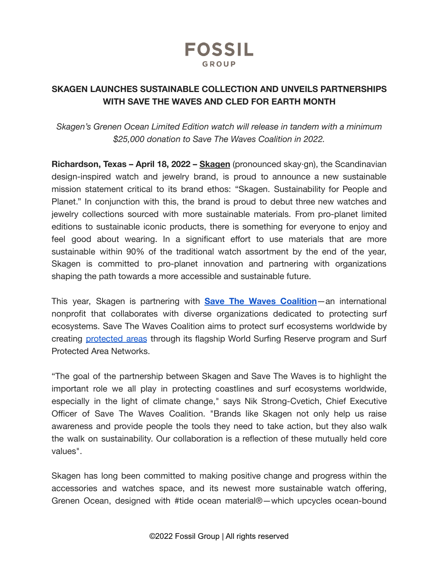

# **SKAGEN LAUNCHES SUSTAINABLE COLLECTION AND UNVEILS PARTNERSHIPS WITH SAVE THE WAVES AND CLED FOR EARTH MONTH**

*Skagen's Grenen Ocean Limited Edition watch will release in tandem with a minimum \$25,000 donation to Save The Waves Coalition in 2022.*

**Richardson, Texas – April 18, 2022 – [Skagen](https://www.skagen.com/en-us/)** (pronounced skay·gn), the Scandinavian design-inspired watch and jewelry brand, is proud to announce a new sustainable mission statement critical to its brand ethos: "Skagen. Sustainability for People and Planet." In conjunction with this, the brand is proud to debut three new watches and jewelry collections sourced with more sustainable materials. From pro-planet limited editions to sustainable iconic products, there is something for everyone to enjoy and feel good about wearing. In a significant effort to use materials that are more sustainable within 90% of the traditional watch assortment by the end of the year, Skagen is committed to pro-planet innovation and partnering with organizations shaping the path towards a more accessible and sustainable future.

This year, Skagen is partnering with **Save The Waves [Coalition](https://www.savethewaves.org/)**—an international nonprofit that collaborates with diverse organizations dedicated to protecting surf ecosystems. Save The Waves Coalition aims to protect surf ecosystems worldwide by creating [protected](https://www.savethewaves.org/protected-areas/) areas through its flagship World Surfing Reserve program and Surf Protected Area Networks.

"The goal of the partnership between Skagen and Save The Waves is to highlight the important role we all play in protecting coastlines and surf ecosystems worldwide, especially in the light of climate change," says Nik Strong-Cvetich, Chief Executive Officer of Save The Waves Coalition. "Brands like Skagen not only help us raise awareness and provide people the tools they need to take action, but they also walk the walk on sustainability. Our collaboration is a reflection of these mutually held core values".

Skagen has long been committed to making positive change and progress within the accessories and watches space, and its newest more sustainable watch offering, Grenen Ocean, designed with #tide ocean material®—which upcycles ocean-bound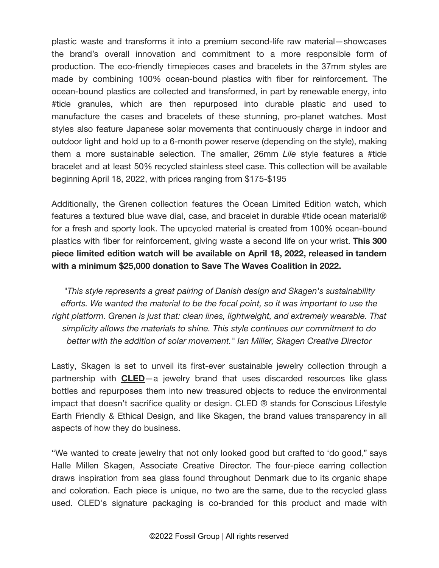plastic waste and transforms it into a premium second-life raw material—showcases the brand's overall innovation and commitment to a more responsible form of production. The eco-friendly timepieces cases and bracelets in the 37mm styles are made by combining 100% ocean-bound plastics with fiber for reinforcement. The ocean-bound plastics are collected and transformed, in part by renewable energy, into #tide granules, which are then repurposed into durable plastic and used to manufacture the cases and bracelets of these stunning, pro-planet watches. Most styles also feature Japanese solar movements that continuously charge in indoor and outdoor light and hold up to a 6-month power reserve (depending on the style), making them a more sustainable selection. The smaller, 26mm *Lile* style features a #tide bracelet and at least 50% recycled stainless steel case. This collection will be available beginning April 18, 2022, with prices ranging from \$175-\$195

Additionally, the Grenen collection features the Ocean Limited Edition watch, which features a textured blue wave dial, case, and bracelet in durable #tide ocean material® for a fresh and sporty look. The upcycled material is created from 100% ocean-bound plastics with fiber for reinforcement, giving waste a second life on your wrist. **This 300 piece limited edition watch will be available on April 18, 2022, released in tandem with a minimum \$25,000 donation to Save The Waves Coalition in 2022.**

*"This style represents a great pairing of Danish design and Skagen's sustainability efforts. We wanted the material to be the focal point, so it was important to use the right platform. Grenen is just that: clean lines, lightweight, and extremely wearable. That simplicity allows the materials to shine. This style continues our commitment to do better with the addition of solar movement." Ian Miller, Skagen Creative Director*

Lastly, Skagen is set to unveil its first-ever sustainable jewelry collection through a partnership with **[CLED](https://www.thecled.com/?gclid=CjwKCAjwxOCRBhA8EiwA0X8hizkl5S5upE-qlt51LpR2hCiC99V73N78FwXyTJiz13jEmsZ99Qj-YRoC6ewQAvD_BwE)**—a jewelry brand that uses discarded resources like glass bottles and repurposes them into new treasured objects to reduce the environmental impact that doesn't sacrifice quality or design. CLED ® stands for Conscious Lifestyle Earth Friendly & Ethical Design, and like Skagen, the brand values transparency in all aspects of how they do business.

"We wanted to create jewelry that not only looked good but crafted to 'do good," says Halle Millen Skagen, Associate Creative Director. The four-piece earring collection draws inspiration from sea glass found throughout Denmark due to its organic shape and coloration. Each piece is unique, no two are the same, due to the recycled glass used. CLED's signature packaging is co-branded for this product and made with